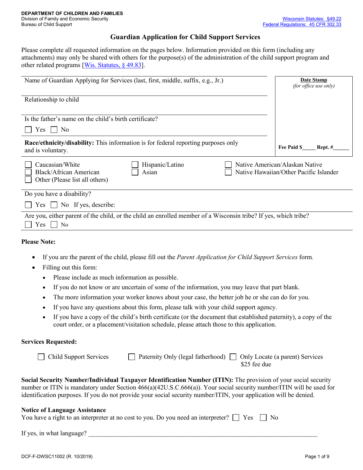#### **Guardian Application for Child Support Services**

Please complete all requested information on the pages below. Information provided on this form (including any attachments) may only be shared with others for the purpose(s) of the administration of the child support program and other related programs [Wis. Statutes, § 49.83].

| Name of Guardian Applying for Services (last, first, middle, suffix, e.g., Jr.)                                                           | Date Stamp<br>(for office use only)                                      |
|-------------------------------------------------------------------------------------------------------------------------------------------|--------------------------------------------------------------------------|
| Relationship to child                                                                                                                     |                                                                          |
| Is the father's name on the child's birth certificate?                                                                                    |                                                                          |
| No<br>Yes                                                                                                                                 |                                                                          |
| <b>Race/ethnicity/disability:</b> This information is for federal reporting purposes only<br>and is voluntary.                            | Fee Paid \$<br>Rept. #                                                   |
| Caucasian/White<br>Hispanic/Latino<br>Black/African American<br>Asian<br>Other (Please list all others)                                   | Native American/Alaskan Native<br>Native Hawaiian/Other Pacific Islander |
| Do you have a disability?                                                                                                                 |                                                                          |
| $Yes \Box No$ If yes, describe:                                                                                                           |                                                                          |
| Are you, either parent of the child, or the child an enrolled member of a Wisconsin tribe? If yes, which tribe?<br>N <sub>0</sub><br>Yes. |                                                                          |

#### **Please Note:**

- If you are the parent of the child, please fill out the *Parent Application for Child Support Services* form*.*
- Filling out this form:
	- Please include as much information as possible.
	- If you do not know or are uncertain of some of the information, you may leave that part blank.
	- The more information your worker knows about your case, the better job he or she can do for you.
	- If you have any questions about this form, please talk with your child support agency.
	- If you have a copy of the child's birth certificate (or the document that established paternity), a copy of the court order, or a placement/visitation schedule, please attach those to this application.

#### **Services Requested:**

| Child Support Services | $\Box$ Paternity Only (legal fatherhood) $\Box$ Only Locate (a parent) Services |
|------------------------|---------------------------------------------------------------------------------|
|                        | \$25 fee due                                                                    |

**Social Security Number/Individual Taxpayer Identification Number (ITIN):** The provision of your social security number or ITIN is mandatory under Section 466(a)(42U.S.C.666(a)). Your social security number/ITIN will be used for identification purposes. If you do not provide your social security number/ITIN, your application will be denied.

#### **Notice of Language Assistance**

| You have a right to an interpreter at no cost to you. Do you need an interpreter? $\Box$ Yes $\Box$ No |  |  |
|--------------------------------------------------------------------------------------------------------|--|--|
|--------------------------------------------------------------------------------------------------------|--|--|

If yes, in what language?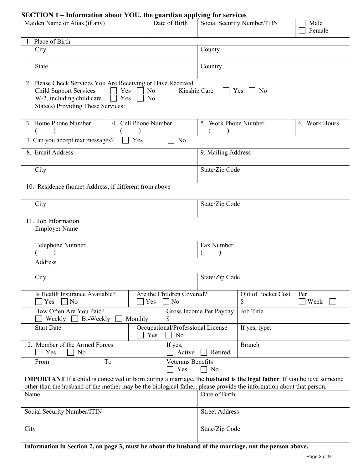### **SECTION 1 – Information about YOU, the guardian applying for services**

| $\mu$ , $\mu$ , $\mu$ , $\mu$ , $\mu$ , $\mu$ , $\mu$ , $\mu$ , $\mu$ , $\mu$ , $\mu$ , $\mu$ , $\mu$ , $\mu$ , $\mu$ , $\mu$<br>Maiden Name or Alias (if any)                                                                                             | Date of Birth                                  |                              | Social Security Number/ITIN          | Male<br>Female |  |
|------------------------------------------------------------------------------------------------------------------------------------------------------------------------------------------------------------------------------------------------------------|------------------------------------------------|------------------------------|--------------------------------------|----------------|--|
| 1. Place of Birth                                                                                                                                                                                                                                          |                                                |                              |                                      |                |  |
| City                                                                                                                                                                                                                                                       |                                                | County                       |                                      |                |  |
| <b>State</b>                                                                                                                                                                                                                                               |                                                | Country                      |                                      |                |  |
| 2. Please Check Services You Are Receiving or Have Received<br><b>Child Support Services</b><br>Yes<br>W-2, including child care<br>Yes<br>State(s) Providing These Services:                                                                              | N <sub>o</sub><br>No                           | Kinship Care<br>$\mathbf{L}$ | Yes [<br>$\overline{\phantom{a}}$ No |                |  |
|                                                                                                                                                                                                                                                            |                                                |                              |                                      |                |  |
| 3. Home Phone Number<br>4. Cell Phone Number                                                                                                                                                                                                               |                                                | 5. Work Phone Number         |                                      | 6. Work Hours  |  |
|                                                                                                                                                                                                                                                            |                                                |                              |                                      |                |  |
| Yes<br>7. Can you accept text messages?                                                                                                                                                                                                                    | No                                             |                              |                                      |                |  |
| 8. Email Address                                                                                                                                                                                                                                           |                                                | 9. Mailing Address           |                                      |                |  |
| City                                                                                                                                                                                                                                                       |                                                | State/Zip Code               |                                      |                |  |
| 10. Residence (home) Address, if different from above                                                                                                                                                                                                      |                                                |                              |                                      |                |  |
| City                                                                                                                                                                                                                                                       |                                                | State/Zip Code               |                                      |                |  |
| 11. Job Information                                                                                                                                                                                                                                        |                                                |                              |                                      |                |  |
| <b>Employer Name</b>                                                                                                                                                                                                                                       |                                                |                              |                                      |                |  |
| Telephone Number                                                                                                                                                                                                                                           |                                                | Fax Number                   |                                      |                |  |
|                                                                                                                                                                                                                                                            |                                                |                              |                                      |                |  |
| Address                                                                                                                                                                                                                                                    |                                                |                              |                                      |                |  |
| City                                                                                                                                                                                                                                                       |                                                | State/Zip Code               |                                      |                |  |
| Is Health Insurance Available?                                                                                                                                                                                                                             | Are the Children Covered?                      |                              | Out of Pocket Cost                   | Per            |  |
| No<br>$\bigcap$ Yes<br>Yes                                                                                                                                                                                                                                 | $\exists$ No                                   |                              | \$                                   | Week           |  |
| How Often Are You Paid?<br>Weekly<br>Bi-Weekly<br>Monthly                                                                                                                                                                                                  | \$                                             | Gross Income Per Payday      | Job Title                            |                |  |
| <b>Start Date</b>                                                                                                                                                                                                                                          | Occupational/Professional License<br>No<br>Yes |                              | If yes, type:                        |                |  |
| 12. Member of the Armed Forces<br>Yes<br>No                                                                                                                                                                                                                | If yes,<br>Active                              | Retired                      | <b>Branch</b>                        |                |  |
| To<br>From                                                                                                                                                                                                                                                 | Veterans Benefits<br>Yes                       | No                           |                                      |                |  |
| <b>IMPORTANT</b> If a child is conceived or born during a marriage, the <b>husband</b> is the legal father. If you believe someone<br>other than the husband of the mother may be the biological father, please provide the information about that person. |                                                |                              |                                      |                |  |
| Name                                                                                                                                                                                                                                                       |                                                | Date of Birth                |                                      |                |  |
| Social Security Number/ITIN                                                                                                                                                                                                                                |                                                | <b>Street Address</b>        |                                      |                |  |
| City                                                                                                                                                                                                                                                       |                                                | State/Zip Code               |                                      |                |  |

**Information in Section 2, on page 3, must be about the husband of the marriage, not the person above.**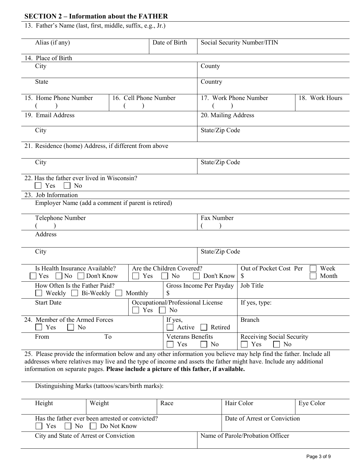## **SECTION 2 – Information about the FATHER**

13. Father's Name (last, first, middle, suffix, e.g., Jr.)

| Alias (if any)                                                                                                                                                                                                                                                                                                                                                                           |                       | Date of Birth                           |                                                          | Social Security Number/ITIN |                |
|------------------------------------------------------------------------------------------------------------------------------------------------------------------------------------------------------------------------------------------------------------------------------------------------------------------------------------------------------------------------------------------|-----------------------|-----------------------------------------|----------------------------------------------------------|-----------------------------|----------------|
| 14. Place of Birth                                                                                                                                                                                                                                                                                                                                                                       |                       |                                         |                                                          |                             |                |
| City                                                                                                                                                                                                                                                                                                                                                                                     |                       |                                         | County                                                   |                             |                |
| <b>State</b>                                                                                                                                                                                                                                                                                                                                                                             |                       |                                         | Country                                                  |                             |                |
| 15. Home Phone Number                                                                                                                                                                                                                                                                                                                                                                    | 16. Cell Phone Number |                                         | 17. Work Phone Number                                    |                             | 18. Work Hours |
| 19. Email Address                                                                                                                                                                                                                                                                                                                                                                        |                       |                                         | 20. Mailing Address                                      |                             |                |
| City                                                                                                                                                                                                                                                                                                                                                                                     |                       |                                         | State/Zip Code                                           |                             |                |
| 21. Residence (home) Address, if different from above                                                                                                                                                                                                                                                                                                                                    |                       |                                         |                                                          |                             |                |
| City                                                                                                                                                                                                                                                                                                                                                                                     |                       |                                         | State/Zip Code                                           |                             |                |
| 22. Has the father ever lived in Wisconsin?<br>Yes<br>No                                                                                                                                                                                                                                                                                                                                 |                       |                                         |                                                          |                             |                |
| 23. Job Information                                                                                                                                                                                                                                                                                                                                                                      |                       |                                         |                                                          |                             |                |
| Employer Name (add a comment if parent is retired)                                                                                                                                                                                                                                                                                                                                       |                       |                                         |                                                          |                             |                |
| Telephone Number                                                                                                                                                                                                                                                                                                                                                                         |                       |                                         | Fax Number                                               |                             |                |
| Address                                                                                                                                                                                                                                                                                                                                                                                  |                       |                                         |                                                          |                             |                |
| City                                                                                                                                                                                                                                                                                                                                                                                     |                       |                                         | State/Zip Code                                           |                             |                |
| Is Health Insurance Available?                                                                                                                                                                                                                                                                                                                                                           |                       | Are the Children Covered?               |                                                          | Out of Pocket Cost Per      | Week           |
| Don't Know<br>Yes<br>No                                                                                                                                                                                                                                                                                                                                                                  | Yes                   | No                                      | Don't Know                                               | \$                          | Month          |
| How Often Is the Father Paid?<br>Weekly<br>Bi-Weekly                                                                                                                                                                                                                                                                                                                                     | Monthly               | \$                                      | Gross Income Per Payday                                  | Job Title                   |                |
| <b>Start Date</b>                                                                                                                                                                                                                                                                                                                                                                        | Yes                   | Occupational/Professional License<br>No |                                                          | If yes, type:               |                |
| 24. Member of the Armed Forces<br>Yes<br>No                                                                                                                                                                                                                                                                                                                                              |                       | If yes,<br>Active                       | Retired                                                  | <b>Branch</b>               |                |
| To<br>From                                                                                                                                                                                                                                                                                                                                                                               |                       | Veterans Benefits<br>Yes                | Receiving Social Security<br>No<br>Yes<br>N <sub>o</sub> |                             |                |
| 25. Please provide the information below and any other information you believe may help find the father. Include all<br>addresses where relatives may live and the type of income and assets the father might have. Include any additional<br>information on separate pages. Please include a picture of this father, if available.<br>Distinguishing Marks (tattoos/scars/birth marks): |                       |                                         |                                                          |                             |                |
|                                                                                                                                                                                                                                                                                                                                                                                          |                       |                                         |                                                          |                             |                |

| Height                                 | Weight                                                                          | Race | Hair Color                       | Eye Color |
|----------------------------------------|---------------------------------------------------------------------------------|------|----------------------------------|-----------|
| Yes                                    | Has the father ever been arrested or convicted?<br>$\Box$ No $\Box$ Do Not Know |      | Date of Arrest or Conviction     |           |
| City and State of Arrest or Conviction |                                                                                 |      | Name of Parole/Probation Officer |           |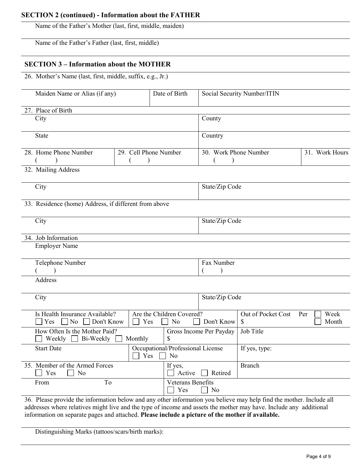## **SECTION 2 (continued) - Information about the FATHER**

Name of the Father's Mother (last, first, middle, maiden)

Name of the Father's Father (last, first, middle)

### **SECTION 3 – Information about the MOTHER**

26. Mother's Name (last, first, middle, suffix, e.g., Jr.)

| Maiden Name or Alias (if any)                                                                                        |                                                           |  | Date of Birth                      | Social Security Number/ITIN |                    |     |                |
|----------------------------------------------------------------------------------------------------------------------|-----------------------------------------------------------|--|------------------------------------|-----------------------------|--------------------|-----|----------------|
| 27. Place of Birth                                                                                                   |                                                           |  |                                    |                             |                    |     |                |
| City                                                                                                                 |                                                           |  |                                    | County                      |                    |     |                |
| <b>State</b>                                                                                                         |                                                           |  |                                    | Country                     |                    |     |                |
| 28. Home Phone Number                                                                                                | 29. Cell Phone Number                                     |  |                                    | 30. Work Phone Number       |                    |     | 31. Work Hours |
|                                                                                                                      |                                                           |  |                                    |                             |                    |     |                |
| 32. Mailing Address                                                                                                  |                                                           |  |                                    |                             |                    |     |                |
| City                                                                                                                 |                                                           |  |                                    | State/Zip Code              |                    |     |                |
| 33. Residence (home) Address, if different from above                                                                |                                                           |  |                                    |                             |                    |     |                |
| City                                                                                                                 |                                                           |  |                                    | State/Zip Code              |                    |     |                |
| 34. Job Information                                                                                                  |                                                           |  |                                    |                             |                    |     |                |
| <b>Employer Name</b>                                                                                                 |                                                           |  |                                    |                             |                    |     |                |
| Telephone Number                                                                                                     |                                                           |  |                                    | Fax Number                  |                    |     |                |
|                                                                                                                      |                                                           |  |                                    |                             |                    |     |                |
| Address                                                                                                              |                                                           |  |                                    |                             |                    |     |                |
| City                                                                                                                 |                                                           |  |                                    | State/Zip Code              |                    |     |                |
| Is Health Insurance Available?                                                                                       |                                                           |  | Are the Children Covered?          |                             | Out of Pocket Cost | Per | Week           |
| N <sub>o</sub><br>Don't Know<br>Yes                                                                                  | Yes                                                       |  | No                                 | Don't Know                  | \$                 |     | Month          |
| How Often Is the Mother Paid?<br>Bi-Weekly<br>Weekly<br>$\blacksquare$                                               | Monthly                                                   |  | \$                                 | Gross Income Per Payday     | Job Title          |     |                |
| <b>Start Date</b>                                                                                                    | Occupational/Professional License<br>$\Box$ Yes $\Box$ No |  |                                    | If yes, type:               |                    |     |                |
| 35. Member of the Armed Forces<br>Yes<br>No                                                                          | If yes,<br>Active                                         |  | Retired                            | <b>Branch</b>               |                    |     |                |
| To<br>From                                                                                                           |                                                           |  | Veterans Benefits<br>Yes<br>$\Box$ | No                          |                    |     |                |
| 36. Please provide the information below and any other information you believe may help find the mother. Include all |                                                           |  |                                    |                             |                    |     |                |

addresses where relatives might live and the type of income and assets the mother may have. Include any additional information on separate pages and attached. **Please include a picture of the mother if available.** 

Distinguishing Marks (tattoos/scars/birth marks):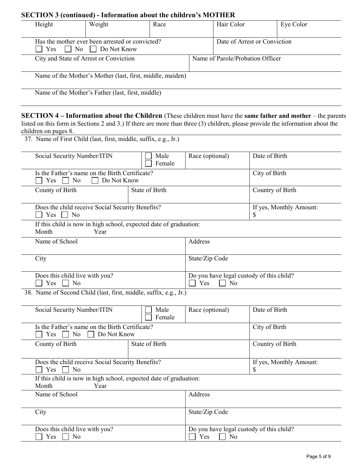## **SECTION 3 (continued) - Information about the children's MOTHER**

| Height                                                                                 | Weight             | Race                  |                      | Hair Color                                     | Eye Color                                                                                                                                                                                                                                                    |
|----------------------------------------------------------------------------------------|--------------------|-----------------------|----------------------|------------------------------------------------|--------------------------------------------------------------------------------------------------------------------------------------------------------------------------------------------------------------------------------------------------------------|
| Has the mother ever been arrested or convicted?<br>No<br>Yes                           | $\Box$ Do Not Know |                       |                      | Date of Arrest or Conviction                   |                                                                                                                                                                                                                                                              |
| City and State of Arrest or Conviction                                                 |                    |                       |                      | Name of Parole/Probation Officer               |                                                                                                                                                                                                                                                              |
| Name of the Mother's Mother (last, first, middle, maiden)                              |                    |                       |                      |                                                |                                                                                                                                                                                                                                                              |
| Name of the Mother's Father (last, first, middle)                                      |                    |                       |                      |                                                |                                                                                                                                                                                                                                                              |
| children on pages 8.                                                                   |                    |                       |                      |                                                | <b>SECTION 4 – Information about the Children</b> (These children must have the <b>same father and mother</b> – the parents<br>listed on this form in Sections 2 and 3.) If there are more than three (3) children, please provide the information about the |
| 37. Name of First Child (last, first, middle, suffix, e.g., Jr.)                       |                    |                       |                      |                                                |                                                                                                                                                                                                                                                              |
| Social Security Number/ITIN                                                            |                    | Male<br>Female        | Race (optional)      |                                                | Date of Birth                                                                                                                                                                                                                                                |
| Is the Father's name on the Birth Certificate?<br>$Yes \Box No$                        | Do Not Know        |                       |                      |                                                | City of Birth                                                                                                                                                                                                                                                |
| County of Birth                                                                        |                    | State of Birth        |                      |                                                | Country of Birth                                                                                                                                                                                                                                             |
| Does the child receive Social Security Benefits?<br>Yes<br>$\pm 1$<br>N <sub>o</sub>   |                    |                       |                      | S                                              | If yes, Monthly Amount:                                                                                                                                                                                                                                      |
| If this child is now in high school, expected date of graduation:<br>Month             | Year               |                       |                      |                                                |                                                                                                                                                                                                                                                              |
| Name of School                                                                         |                    |                       | Address              |                                                |                                                                                                                                                                                                                                                              |
| City                                                                                   |                    |                       | State/Zip Code       |                                                |                                                                                                                                                                                                                                                              |
| Does this child live with you?<br>$\Box$ Yes $\Box$ No                                 |                    |                       | $\Box$ Yes $\Box$ No | Do you have legal custody of this child?       |                                                                                                                                                                                                                                                              |
| 38. Name of Second Child (last, first, middle, suffix, e.g., Jr.)                      |                    |                       |                      |                                                |                                                                                                                                                                                                                                                              |
| Social Security Number/ITIN                                                            |                    | Male<br>Female        | Race (optional)      |                                                | Date of Birth                                                                                                                                                                                                                                                |
| Is the Father's name on the Birth Certificate?<br>No<br>Yes                            | Do Not Know        |                       |                      |                                                | City of Birth                                                                                                                                                                                                                                                |
| County of Birth                                                                        |                    | <b>State of Birth</b> |                      |                                                | Country of Birth                                                                                                                                                                                                                                             |
| Does the child receive Social Security Benefits?<br>Yes<br>$\overline{\phantom{a}}$ No |                    |                       |                      | \$                                             | If yes, Monthly Amount:                                                                                                                                                                                                                                      |
| If this child is now in high school, expected date of graduation:<br>Month             | Year               |                       |                      |                                                |                                                                                                                                                                                                                                                              |
| Name of School                                                                         |                    |                       | Address              |                                                |                                                                                                                                                                                                                                                              |
| City                                                                                   |                    |                       | State/Zip Code       |                                                |                                                                                                                                                                                                                                                              |
| Does this child live with you?<br>Yes<br>No                                            |                    |                       | Yes                  | Do you have legal custody of this child?<br>No |                                                                                                                                                                                                                                                              |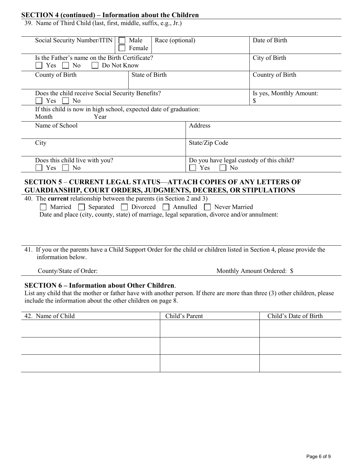## **SECTION 4 (continued) – Information about the Children**

39. Name of Third Child (last, first, middle, suffix, e.g., Jr.)

| Social Security Number/ITIN                                                                                                                                 | Male<br>Race (optional) |                                          | Date of Birth           |  |
|-------------------------------------------------------------------------------------------------------------------------------------------------------------|-------------------------|------------------------------------------|-------------------------|--|
|                                                                                                                                                             | Female                  |                                          |                         |  |
| Is the Father's name on the Birth Certificate?                                                                                                              |                         |                                          | City of Birth           |  |
| N <sub>o</sub><br>Do Not Know<br>$Yes$                                                                                                                      |                         |                                          |                         |  |
| County of Birth                                                                                                                                             | State of Birth          |                                          | Country of Birth        |  |
|                                                                                                                                                             |                         |                                          |                         |  |
| Does the child receive Social Security Benefits?                                                                                                            |                         |                                          | Is yes, Monthly Amount: |  |
| N <sub>o</sub><br>Yes                                                                                                                                       |                         |                                          | \$                      |  |
| If this child is now in high school, expected date of graduation:                                                                                           |                         |                                          |                         |  |
| Month<br>Year                                                                                                                                               |                         |                                          |                         |  |
| Name of School                                                                                                                                              |                         | Address                                  |                         |  |
|                                                                                                                                                             |                         |                                          |                         |  |
| City                                                                                                                                                        |                         | State/Zip Code                           |                         |  |
|                                                                                                                                                             |                         |                                          |                         |  |
| Does this child live with you?                                                                                                                              |                         | Do you have legal custody of this child? |                         |  |
| N <sub>o</sub><br>Yes<br>Yes<br>N <sub>0</sub>                                                                                                              |                         |                                          |                         |  |
|                                                                                                                                                             |                         |                                          |                         |  |
| <b>SECTION 5 – CURRENT LEGAL STATUS—ATTACH COPIES OF ANY LETTERS OF</b>                                                                                     |                         |                                          |                         |  |
| <b>GUARDIANSHIP, COURT ORDERS, JUDGMENTS, DECREES, OR STIPULATIONS</b><br>40. The current relationship between the parents (in Section 2 and 3)             |                         |                                          |                         |  |
|                                                                                                                                                             |                         |                                          |                         |  |
| Separated □ Divorced □ Annulled □ Never Married<br>Married<br>Date and place (city, county, state) of marriage, legal separation, divorce and/or annulment: |                         |                                          |                         |  |
|                                                                                                                                                             |                         |                                          |                         |  |
|                                                                                                                                                             |                         |                                          |                         |  |
|                                                                                                                                                             |                         |                                          |                         |  |
|                                                                                                                                                             |                         |                                          |                         |  |
| 41. If you or the parents have a Child Support Order for the child or children listed in Section 4, please provide the<br>information below.                |                         |                                          |                         |  |
|                                                                                                                                                             |                         |                                          |                         |  |

County/State of Order: Monthly Amount Ordered: \$

#### **SECTION 6 – Information about Other Children**.

List any child that the mother or father have with another person. If there are more than three (3) other children, please include the information about the other children on page 8.

| 42. Name of Child | Child's Parent | Child's Date of Birth |
|-------------------|----------------|-----------------------|
|                   |                |                       |
|                   |                |                       |
|                   |                |                       |
|                   |                |                       |
|                   |                |                       |
|                   |                |                       |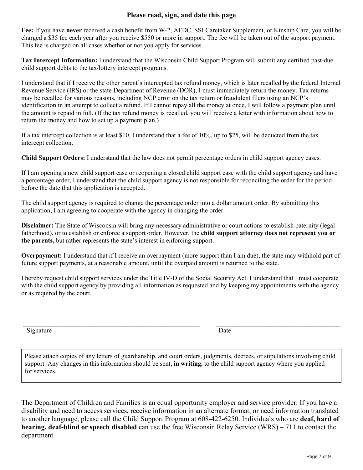### **Please read, sign, and date this page**

**Fee:** If you have **never** received a cash benefit from W-2, AFDC, SSI Caretaker Supplement, or Kinship Care, you will be charged a \$35 fee each year after you receive \$550 or more in support. The fee will be taken out of the support payment. This fee is charged on all cases whether or not you apply for services.

**Tax Intercept Information:** I understand that the Wisconsin Child Support Program will submit any certified past-due child support debts to the tax/lottery intercept programs.

I understand that if I receive the other parent's intercepted tax refund money, which is later recalled by the federal Internal Revenue Service (IRS) or the state Department of Revenue (DOR), I must immediately return the money. Tax returns may be recalled for various reasons, including NCP error on the tax return or fraudulent filers using an NCP's identification in an attempt to collect a refund. If I cannot repay all the money at once, I will follow a payment plan until the amount is repaid in full. (If the tax refund money is recalled, you will receive a letter with information about how to return the money and how to set up a payment plan.)

If a tax intercept collection is at least \$10, I understand that a fee of 10%, up to \$25, will be deducted from the tax intercept collection.

**Child Support Orders:** I understand that the law does not permit percentage orders in child support agency cases.

If I am opening a new child support case or reopening a closed child support case with the child support agency and have a percentage order, I understand that the child support agency is not responsible for reconciling the order for the period before the date that this application is accepted.

The child support agency is required to change the percentage order into a dollar amount order. By submitting this application, I am agreeing to cooperate with the agency in changing the order.

**Disclaimer:** The State of Wisconsin will bring any necessary administrative or court actions to establish paternity (legal fatherhood), or to establish or enforce a support order. However, the **child support attorney does not represent you or the parents,** but rather represents the state's interest in enforcing support.

**Overpayment:** I understand that if I receive an overpayment (more support than I am due), the state may withhold part of future support payments, at a reasonable amount, until the overpaid amount is returned to the state.

I hereby request child support services under the Title IV-D of the Social Security Act. I understand that I must cooperate with the child support agency by providing all information as requested and by keeping my appointments with the agency or as required by the court.

\_\_\_\_\_\_\_\_\_\_\_\_\_\_\_\_\_\_\_\_\_\_\_\_\_\_\_\_\_\_\_\_\_\_\_\_\_\_\_\_\_\_\_\_\_\_\_\_\_\_\_\_\_\_ \_\_\_\_\_\_\_\_\_\_\_\_\_\_\_\_\_\_\_\_\_\_\_\_\_\_\_\_\_\_\_\_\_\_\_\_\_\_

Signature Date

Please attach copies of any letters of guardianship, and court orders, judgments, decrees, or stipulations involving child support. Any changes in this information should be sent, **in writing**, to the child support agency where you applied for services.

The Department of Children and Families is an equal opportunity employer and service provider. If you have a disability and need to access services, receive information in an alternate format, or need information translated to another language, please call the Child Support Program at 608-422-6250. Individuals who are **deaf, hard of hearing, deaf-blind or speech disabled** can use the free Wisconsin Relay Service (WRS) – 711 to contact the department.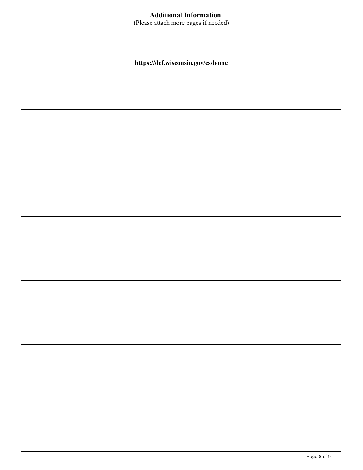# **Additional Information**

(Please attach more pages if needed)

**https://dcf.wisconsin.gov/cs/home**